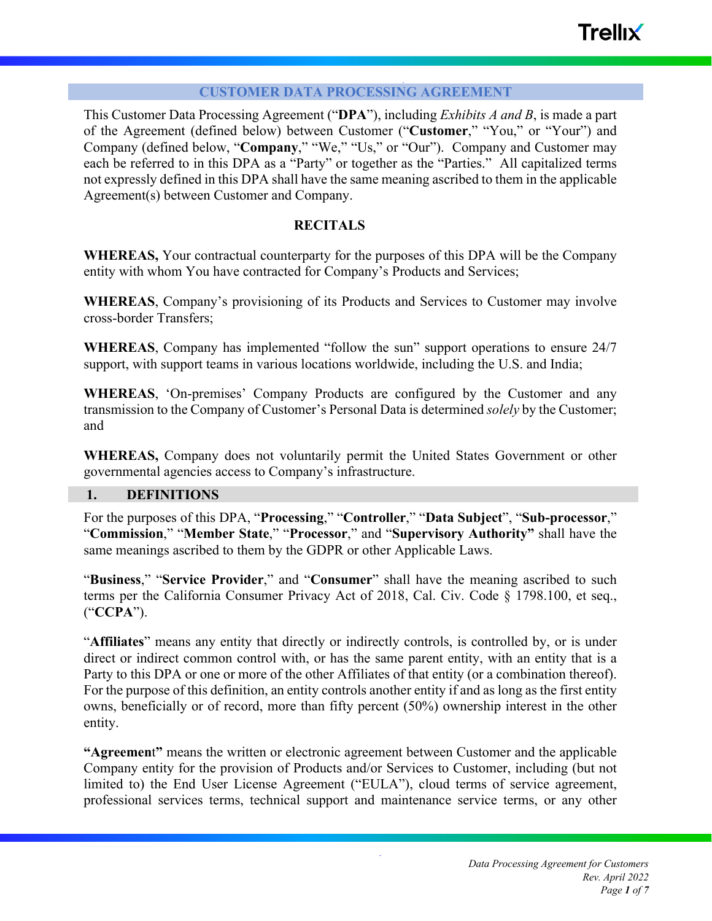#### **CUSTOMER DATA PROCESSING AGREEMENT**

This Customer Data Processing Agreement ("**DPA**"), including *Exhibits A and B*, is made a part of the Agreement (defined below) between Customer ("**Customer**," "You," or "Your") and Company (defined below, "**Company**," "We," "Us," or "Our"). Company and Customer may each be referred to in this DPA as a "Party" or together as the "Parties." All capitalized terms not expressly defined in this DPA shall have the same meaning ascribed to them in the applicable Agreement(s) between Customer and Company.

## **RECITALS**

**WHEREAS,** Your contractual counterparty for the purposes of this DPA will be the Company entity with whom You have contracted for Company's Products and Services;

**WHEREAS**, Company's provisioning of its Products and Services to Customer may involve cross-border Transfers;

**WHEREAS**, Company has implemented "follow the sun" support operations to ensure 24/7 support, with support teams in various locations worldwide, including the U.S. and India;

**WHEREAS**, 'On-premises' Company Products are configured by the Customer and any transmission to the Company of Customer's Personal Data is determined *solely* by the Customer; and

**WHEREAS,** Company does not voluntarily permit the United States Government or other governmental agencies access to Company's infrastructure.

#### **1. DEFINITIONS**

For the purposes of this DPA, "**Processing**," "**Controller**," "**Data Subject**", "**Sub-processor**," "**Commission**," "**Member State**," "**Processor**," and "**Supervisory Authority"** shall have the same meanings ascribed to them by the GDPR or other Applicable Laws.

"**Business**," "**Service Provider**," and "**Consumer**" shall have the meaning ascribed to such terms per the California Consumer Privacy Act of 2018, Cal. Civ. Code § 1798.100, et seq., ("**CCPA**").

"**Affiliates**" means any entity that directly or indirectly controls, is controlled by, or is under direct or indirect common control with, or has the same parent entity, with an entity that is a Party to this DPA or one or more of the other Affiliates of that entity (or a combination thereof). For the purpose of this definition, an entity controls another entity if and as long as the first entity owns, beneficially or of record, more than fifty percent (50%) ownership interest in the other entity.

**"Agreemen**t**"** means the written or electronic agreement between Customer and the applicable Company entity for the provision of Products and/or Services to Customer, including (but not limited to) the End User License Agreement ("EULA"), cloud terms of service agreement, professional services terms, technical support and maintenance service terms, or any other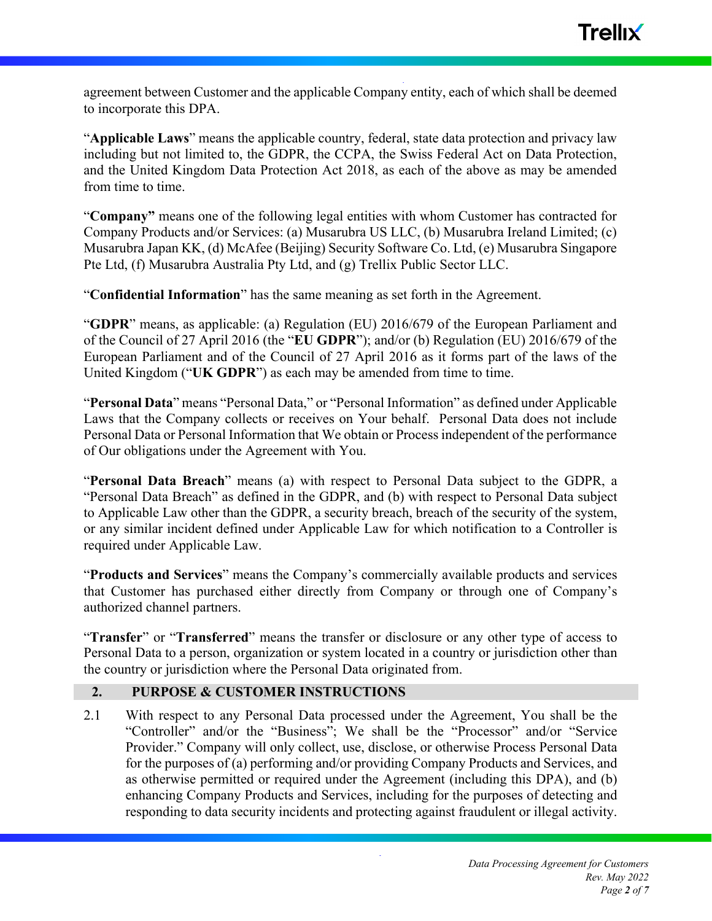agreement between Customer and the applicable Company entity, each of which shall be deemed to incorporate this DPA.

"**Applicable Laws**" means the applicable country, federal, state data protection and privacy law including but not limited to, the GDPR, the CCPA, the Swiss Federal Act on Data Protection, and the United Kingdom Data Protection Act 2018, as each of the above as may be amended from time to time.

"**Company"** means one of the following legal entities with whom Customer has contracted for Company Products and/or Services: (a) Musarubra US LLC, (b) Musarubra Ireland Limited; (c) Musarubra Japan KK, (d) McAfee (Beijing) Security Software Co. Ltd, (e) Musarubra Singapore Pte Ltd, (f) Musarubra Australia Pty Ltd, and (g) Trellix Public Sector LLC.

"**Confidential Information**" has the same meaning as set forth in the Agreement.

"**GDPR**" means, as applicable: (a) Regulation (EU) 2016/679 of the European Parliament and of the Council of 27 April 2016 (the "**EU GDPR**"); and/or (b) Regulation (EU) 2016/679 of the European Parliament and of the Council of 27 April 2016 as it forms part of the laws of the United Kingdom ("**UK GDPR**") as each may be amended from time to time.

"**Personal Data**" means "Personal Data," or "Personal Information" as defined under Applicable Laws that the Company collects or receives on Your behalf. Personal Data does not include Personal Data or Personal Information that We obtain or Process independent of the performance of Our obligations under the Agreement with You.

"**Personal Data Breach**" means (a) with respect to Personal Data subject to the GDPR, a "Personal Data Breach" as defined in the GDPR, and (b) with respect to Personal Data subject to Applicable Law other than the GDPR, a security breach, breach of the security of the system, or any similar incident defined under Applicable Law for which notification to a Controller is required under Applicable Law.

"**Products and Services**" means the Company's commercially available products and services that Customer has purchased either directly from Company or through one of Company's authorized channel partners.

"**Transfer**" or "**Transferred**" means the transfer or disclosure or any other type of access to Personal Data to a person, organization or system located in a country or jurisdiction other than the country or jurisdiction where the Personal Data originated from.

# **2. PURPOSE & CUSTOMER INSTRUCTIONS**

2.1 With respect to any Personal Data processed under the Agreement, You shall be the "Controller" and/or the "Business"; We shall be the "Processor" and/or "Service Provider." Company will only collect, use, disclose, or otherwise Process Personal Data for the purposes of (a) performing and/or providing Company Products and Services, and as otherwise permitted or required under the Agreement (including this DPA), and (b) enhancing Company Products and Services, including for the purposes of detecting and responding to data security incidents and protecting against fraudulent or illegal activity.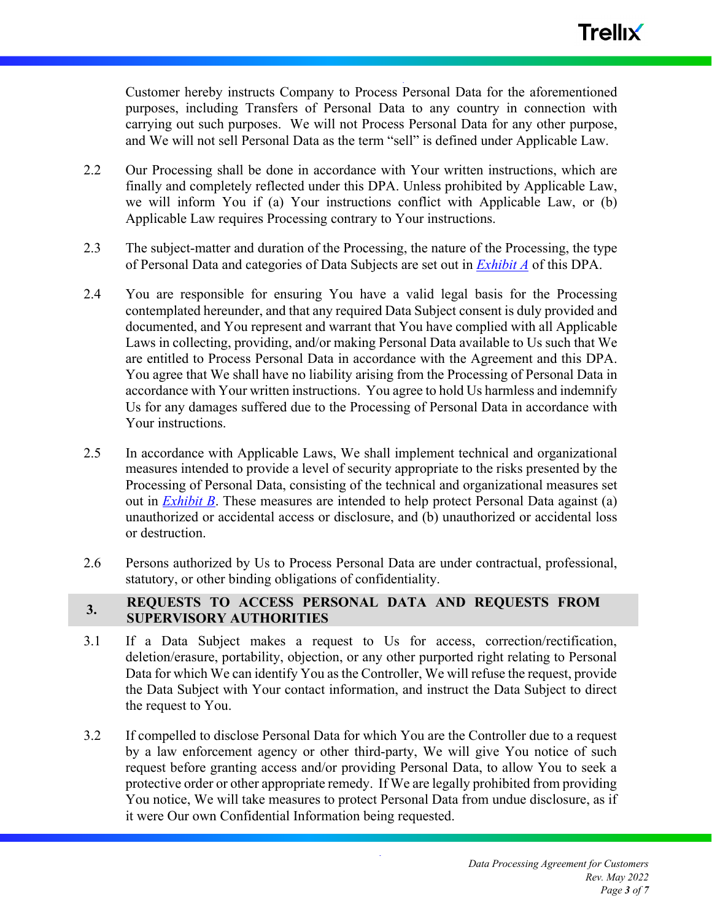Customer hereby instructs Company to Process Personal Data for the aforementioned purposes, including Transfers of Personal Data to any country in connection with carrying out such purposes. We will not Process Personal Data for any other purpose, and We will not sell Personal Data as the term "sell" is defined under Applicable Law.

- 2.2 Our Processing shall be done in accordance with Your written instructions, which are finally and completely reflected under this DPA. Unless prohibited by Applicable Law, we will inform You if (a) Your instructions conflict with Applicable Law, or (b) Applicable Law requires Processing contrary to Your instructions.
- 2.3 The subject-matter and duration of the Processing, the nature of the Processing, the type of Personal Data and categories of Data Subjects are set out in *Exhibit A* of this DPA.
- 2.4 You are responsible for ensuring You have a valid legal basis for the Processing contemplated hereunder, and that any required Data Subject consent is duly provided and documented, and You represent and warrant that You have complied with all Applicable Laws in collecting, providing, and/or making Personal Data available to Us such that We are entitled to Process Personal Data in accordance with the Agreement and this DPA. You agree that We shall have no liability arising from the Processing of Personal Data in accordance with Your written instructions. You agree to hold Us harmless and indemnify Us for any damages suffered due to the Processing of Personal Data in accordance with Your instructions.
- 2.5 In accordance with Applicable Laws, We shall implement technical and organizational measures intended to provide a level of security appropriate to the risks presented by the Processing of Personal Data, consisting of the technical and organizational measures set out in *Exhibit B*. These measures are intended to help protect Personal Data against (a) unauthorized or accidental access or disclosure, and (b) unauthorized or accidental loss or destruction.
- 2.6 Persons authorized by Us to Process Personal Data are under contractual, professional, statutory, or other binding obligations of confidentiality.

# **3. REQUESTS TO ACCESS PERSONAL DATA AND REQUESTS FROM SUPERVISORY AUTHORITIES**

- 3.1 If a Data Subject makes a request to Us for access, correction/rectification, deletion/erasure, portability, objection, or any other purported right relating to Personal Data for which We can identify You as the Controller, We will refuse the request, provide the Data Subject with Your contact information, and instruct the Data Subject to direct the request to You.
- 3.2 If compelled to disclose Personal Data for which You are the Controller due to a request by a law enforcement agency or other third-party, We will give You notice of such request before granting access and/or providing Personal Data, to allow You to seek a protective order or other appropriate remedy. If We are legally prohibited from providing You notice, We will take measures to protect Personal Data from undue disclosure, as if it were Our own Confidential Information being requested.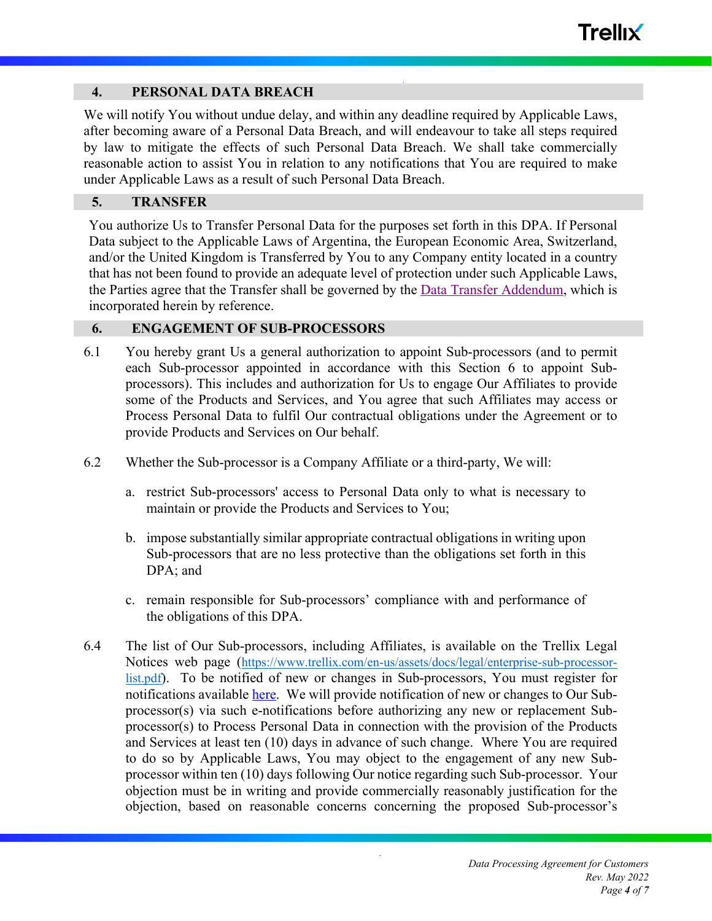# **4. PERSONAL DATA BREACH**

We will notify You without undue delay, and within any deadline required by Applicable Laws, after becoming aware of a Personal Data Breach, and will endeavour to take all steps required by law to mitigate the effects of such Personal Data Breach. We shall take commercially reasonable action to assist You in relation to any notifications that You are required to make under Applicable Laws as a result of such Personal Data Breach.

## **5. TRANSFER**

You authorize Us to Transfer Personal Data for the purposes set forth in this DPA. If Personal Data subject to the Applicable Laws of Argentina, the European Economic Area, Switzerland, and/or the United Kingdom is Transferred by You to any Company entity located in a country that has not been found to provide an adequate level of protection under such Applicable Laws, the Parties agree that the Transfer shall be governed by the Data Transfer Addendum, which is incorporated herein by reference.

# **6. ENGAGEMENT OF SUB-PROCESSORS**

- 6.1 You hereby grant Us a general authorization to appoint Sub-processors (and to permit each Sub-processor appointed in accordance with this Section 6 to appoint Subprocessors). This includes and authorization for Us to engage Our Affiliates to provide some of the Products and Services, and You agree that such Affiliates may access or Process Personal Data to fulfil Our contractual obligations under the Agreement or to provide Products and Services on Our behalf.
- 6.2 Whether the Sub-processor is a Company Affiliate or a third-party, We will:
	- a. restrict Sub-processors' access to Personal Data only to what is necessary to maintain or provide the Products and Services to You;
	- b. impose substantially similar appropriate contractual obligations in writing upon Sub-processors that are no less protective than the obligations set forth in this DPA; and
	- c. remain responsible for Sub-processors' compliance with and performance of the obligations of this DPA.
- 6.4 The list of Our Sub-processors, including Affiliates, is available on the Trellix Legal Notices web page (https://www.trellix.com/en-us/assets/docs/legal/enterprise-sub-processorlist.pdf). To be notified of new or changes in Sub-processors, You must register for notifications available here. We will provide notification of new or changes to Our Subprocessor(s) via such e-notifications before authorizing any new or replacement Subprocessor(s) to Process Personal Data in connection with the provision of the Products and Services at least ten (10) days in advance of such change. Where You are required to do so by Applicable Laws, You may object to the engagement of any new Subprocessor within ten (10) days following Our notice regarding such Sub-processor. Your objection must be in writing and provide commercially reasonably justification for the objection, based on reasonable concerns concerning the proposed Sub-processor's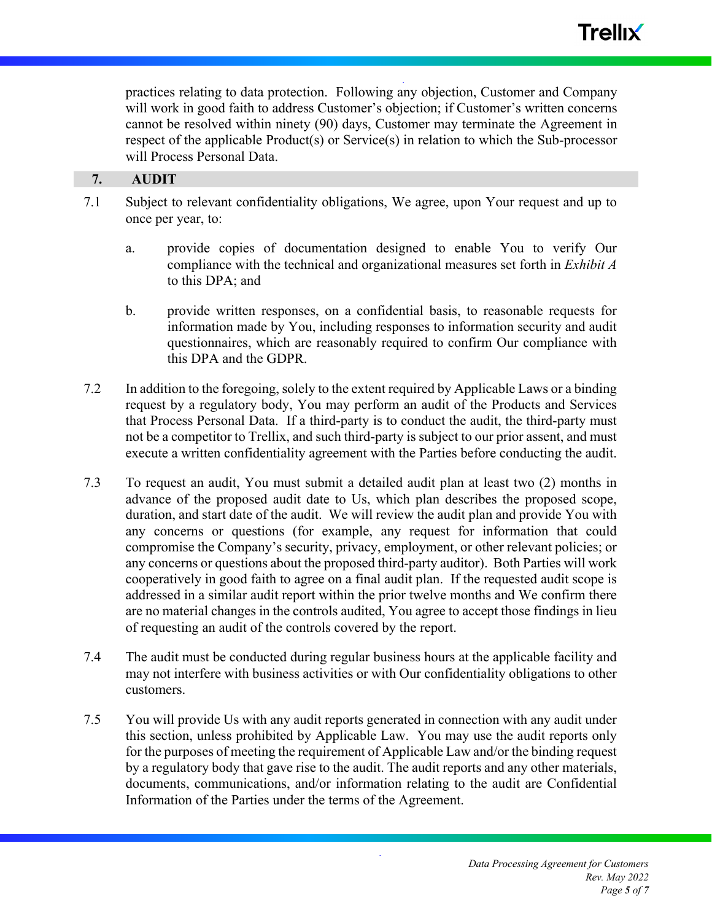practices relating to data protection. Following any objection, Customer and Company will work in good faith to address Customer's objection; if Customer's written concerns cannot be resolved within ninety (90) days, Customer may terminate the Agreement in respect of the applicable Product(s) or Service(s) in relation to which the Sub-processor will Process Personal Data.

## **7. AUDIT**

- 7.1 Subject to relevant confidentiality obligations, We agree, upon Your request and up to once per year, to:
	- a. provide copies of documentation designed to enable You to verify Our compliance with the technical and organizational measures set forth in *Exhibit A* to this DPA; and
	- b. provide written responses, on a confidential basis, to reasonable requests for information made by You, including responses to information security and audit questionnaires, which are reasonably required to confirm Our compliance with this DPA and the GDPR.
- 7.2 In addition to the foregoing, solely to the extent required by Applicable Laws or a binding request by a regulatory body, You may perform an audit of the Products and Services that Process Personal Data. If a third-party is to conduct the audit, the third-party must not be a competitor to Trellix, and such third-party is subject to our prior assent, and must execute a written confidentiality agreement with the Parties before conducting the audit.
- 7.3 To request an audit, You must submit a detailed audit plan at least two (2) months in advance of the proposed audit date to Us, which plan describes the proposed scope, duration, and start date of the audit. We will review the audit plan and provide You with any concerns or questions (for example, any request for information that could compromise the Company's security, privacy, employment, or other relevant policies; or any concerns or questions about the proposed third-party auditor). Both Parties will work cooperatively in good faith to agree on a final audit plan. If the requested audit scope is addressed in a similar audit report within the prior twelve months and We confirm there are no material changes in the controls audited, You agree to accept those findings in lieu of requesting an audit of the controls covered by the report.
- 7.4 The audit must be conducted during regular business hours at the applicable facility and may not interfere with business activities or with Our confidentiality obligations to other customers.
- 7.5 You will provide Us with any audit reports generated in connection with any audit under this section, unless prohibited by Applicable Law. You may use the audit reports only for the purposes of meeting the requirement of Applicable Law and/or the binding request by a regulatory body that gave rise to the audit. The audit reports and any other materials, documents, communications, and/or information relating to the audit are Confidential Information of the Parties under the terms of the Agreement.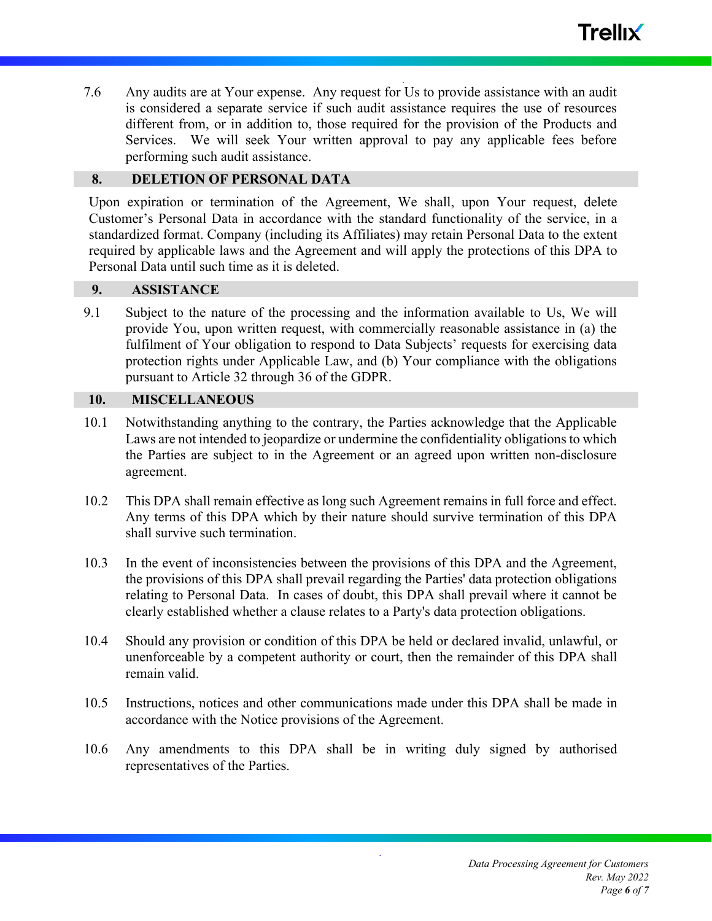7.6 Any audits are at Your expense. Any request for Us to provide assistance with an audit is considered a separate service if such audit assistance requires the use of resources different from, or in addition to, those required for the provision of the Products and Services. We will seek Your written approval to pay any applicable fees before performing such audit assistance.

#### **8. DELETION OF PERSONAL DATA**

Upon expiration or termination of the Agreement, We shall, upon Your request, delete Customer's Personal Data in accordance with the standard functionality of the service, in a standardized format. Company (including its Affiliates) may retain Personal Data to the extent required by applicable laws and the Agreement and will apply the protections of this DPA to Personal Data until such time as it is deleted.

# **9. ASSISTANCE**

9.1 Subject to the nature of the processing and the information available to Us, We will provide You, upon written request, with commercially reasonable assistance in (a) the fulfilment of Your obligation to respond to Data Subjects' requests for exercising data protection rights under Applicable Law, and (b) Your compliance with the obligations pursuant to Article 32 through 36 of the GDPR.

#### **10. MISCELLANEOUS**

- 10.1 Notwithstanding anything to the contrary, the Parties acknowledge that the Applicable Laws are not intended to jeopardize or undermine the confidentiality obligations to which the Parties are subject to in the Agreement or an agreed upon written non-disclosure agreement.
- 10.2 This DPA shall remain effective as long such Agreement remains in full force and effect. Any terms of this DPA which by their nature should survive termination of this DPA shall survive such termination.
- 10.3 In the event of inconsistencies between the provisions of this DPA and the Agreement, the provisions of this DPA shall prevail regarding the Parties' data protection obligations relating to Personal Data. In cases of doubt, this DPA shall prevail where it cannot be clearly established whether a clause relates to a Party's data protection obligations.
- 10.4 Should any provision or condition of this DPA be held or declared invalid, unlawful, or unenforceable by a competent authority or court, then the remainder of this DPA shall remain valid.
- 10.5 Instructions, notices and other communications made under this DPA shall be made in accordance with the Notice provisions of the Agreement.
- 10.6 Any amendments to this DPA shall be in writing duly signed by authorised representatives of the Parties.